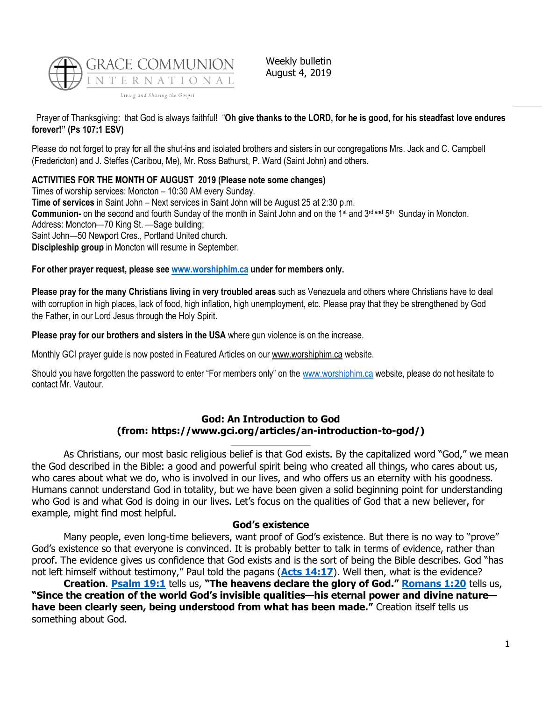

Weekly bulletin August 4, 2019

# Prayer of Thanksgiving: that God is always faithful! "**Oh give thanks to the LORD, for he is good, for his steadfast love endures forever!" (Ps 107:1 ESV)**

Please do not forget to pray for all the shut-ins and isolated brothers and sisters in our congregations Mrs. Jack and C. Campbell (Fredericton) and J. Steffes (Caribou, Me), Mr. Ross Bathurst, P. Ward (Saint John) and others.

## **ACTIVITIES FOR THE MONTH OF AUGUST 2019 (Please note some changes)**

Times of worship services: Moncton – 10:30 AM every Sunday. **Time of services** in Saint John – Next services in Saint John will be August 25 at 2:30 p.m. **Communion-** on the second and fourth Sunday of the month in Saint John and on the 1<sup>st</sup> and 3<sup>rd and</sup> 5<sup>th</sup> Sunday in Moncton. Address: Moncton—70 King St. —Sage building; Saint John—50 Newport Cres., Portland United church. **Discipleship group** in Moncton will resume in September.

## **For other prayer request, please see [www.worshiphim.ca](http://www.worshiphim.ca/) under for members only.**

**Please pray for the many Christians living in very troubled areas** such as Venezuela and others where Christians have to deal with corruption in high places, lack of food, high inflation, high unemployment, etc. Please pray that they be strengthened by God the Father, in our Lord Jesus through the Holy Spirit.

### **Please pray for our brothers and sisters in the USA** where gun violence is on the increase.

Monthly GCI prayer guide is now posted in Featured Articles on our [www.worshiphim.ca](http://www.worshiphim.ca/) website.

Should you have forgotten the password to enter "For members only" on the [www.worshiphim.ca](http://www.worshiphim.ca/) website, please do not hesitate to contact Mr. Vautour.

### **God: An Introduction to God (from: https://www.gci.org/articles/an-introduction-to-god/)**

As Christians, our most basic religious belief is that God exists. By the capitalized word "God," we mean the God described in the Bible: a good and powerful spirit being who created all things, who cares about us, who cares about what we do, who is involved in our lives, and who offers us an eternity with his goodness. Humans cannot understand God in totality, but we have been given a solid beginning point for understanding who God is and what God is doing in our lives. Let's focus on the qualities of God that a new believer, for example, might find most helpful.

### **God's existence**

Many people, even long-time believers, want proof of God's existence. But there is no way to "prove" God's existence so that everyone is convinced. It is probably better to talk in terms of evidence, rather than proof. The evidence gives us confidence that God exists and is the sort of being the Bible describes. God "has not left himself without testimony," Paul told the pagans (**[Acts 14:17](https://biblia.com/bible/niv/Acts%2014.17)**). Well then, what is the evidence?

**Creation**. **[Psalm 19:1](https://biblia.com/bible/niv/Ps%2019.1)** tells us, **"The heavens declare the glory of God." [Romans 1:20](https://biblia.com/bible/niv/Rom%201.20)** tells us, **"Since the creation of the world God's invisible qualities—his eternal power and divine nature have been clearly seen, being understood from what has been made."** Creation itself tells us something about God.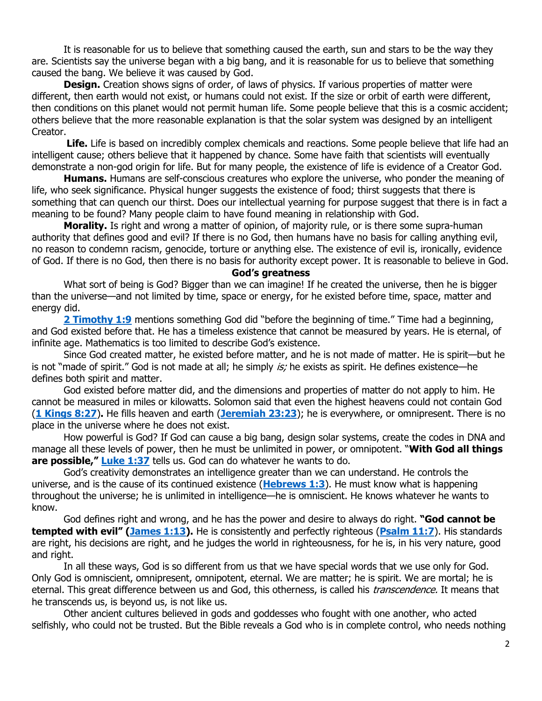It is reasonable for us to believe that something caused the earth, sun and stars to be the way they are. Scientists say the universe began with a big bang, and it is reasonable for us to believe that something caused the bang. We believe it was caused by God.

**Design.** Creation shows signs of order, of laws of physics. If various properties of matter were different, then earth would not exist, or humans could not exist. If the size or orbit of earth were different, then conditions on this planet would not permit human life. Some people believe that this is a cosmic accident; others believe that the more reasonable explanation is that the solar system was designed by an intelligent Creator.

**Life.** Life is based on incredibly complex chemicals and reactions. Some people believe that life had an intelligent cause; others believe that it happened by chance. Some have faith that scientists will eventually demonstrate a non-god origin for life. But for many people, the existence of life is evidence of a Creator God.

**Humans.** Humans are self-conscious creatures who explore the universe, who ponder the meaning of life, who seek significance. Physical hunger suggests the existence of food; thirst suggests that there is something that can quench our thirst. Does our intellectual yearning for purpose suggest that there is in fact a meaning to be found? Many people claim to have found meaning in relationship with God.

**Morality.** Is right and wrong a matter of opinion, of majority rule, or is there some supra-human authority that defines good and evil? If there is no God, then humans have no basis for calling anything evil, no reason to condemn racism, genocide, torture or anything else. The existence of evil is, ironically, evidence of God. If there is no God, then there is no basis for authority except power. It is reasonable to believe in God.

#### **God's greatness**

What sort of being is God? Bigger than we can imagine! If he created the universe, then he is bigger than the universe—and not limited by time, space or energy, for he existed before time, space, matter and energy did.

**[2 Timothy 1:9](https://biblia.com/bible/niv/2%20Tim%201.9)** mentions something God did "before the beginning of time." Time had a beginning, and God existed before that. He has a timeless existence that cannot be measured by years. He is eternal, of infinite age. Mathematics is too limited to describe God's existence.

Since God created matter, he existed before matter, and he is not made of matter. He is spirit—but he is not "made of spirit." God is not made at all; he simply is; he exists as spirit. He defines existence—he defines both spirit and matter.

God existed before matter did, and the dimensions and properties of matter do not apply to him. He cannot be measured in miles or kilowatts. Solomon said that even the highest heavens could not contain God (**[1 Kings 8:27](https://biblia.com/bible/niv/1%20Kings%208.27)**)**.** He fills heaven and earth (**[Jeremiah 23:23](https://biblia.com/bible/niv/Jer%2023.23)**); he is everywhere, or omnipresent. There is no place in the universe where he does not exist.

How powerful is God? If God can cause a big bang, design solar systems, create the codes in DNA and manage all these levels of power, then he must be unlimited in power, or omnipotent. "**With God all things are possible," [Luke 1:37](https://biblia.com/bible/niv/Luke%201.37)** tells us. God can do whatever he wants to do.

God's creativity demonstrates an intelligence greater than we can understand. He controls the universe, and is the cause of its continued existence (**[Hebrews 1:3](https://biblia.com/bible/niv/Heb%201.3)**). He must know what is happening throughout the universe; he is unlimited in intelligence—he is omniscient. He knows whatever he wants to know.

God defines right and wrong, and he has the power and desire to always do right. **"God cannot be tempted with evil" ([James 1:13\)](https://biblia.com/bible/niv/James%201.13).** He is consistently and perfectly righteous (**[Psalm 11:7](https://biblia.com/bible/niv/Ps%2011.7)**). His standards are right, his decisions are right, and he judges the world in righteousness, for he is, in his very nature, good and right.

In all these ways, God is so different from us that we have special words that we use only for God. Only God is omniscient, omnipresent, omnipotent, eternal. We are matter; he is spirit. We are mortal; he is eternal. This great difference between us and God, this otherness, is called his *transcendence*. It means that he transcends us, is beyond us, is not like us.

Other ancient cultures believed in gods and goddesses who fought with one another, who acted selfishly, who could not be trusted. But the Bible reveals a God who is in complete control, who needs nothing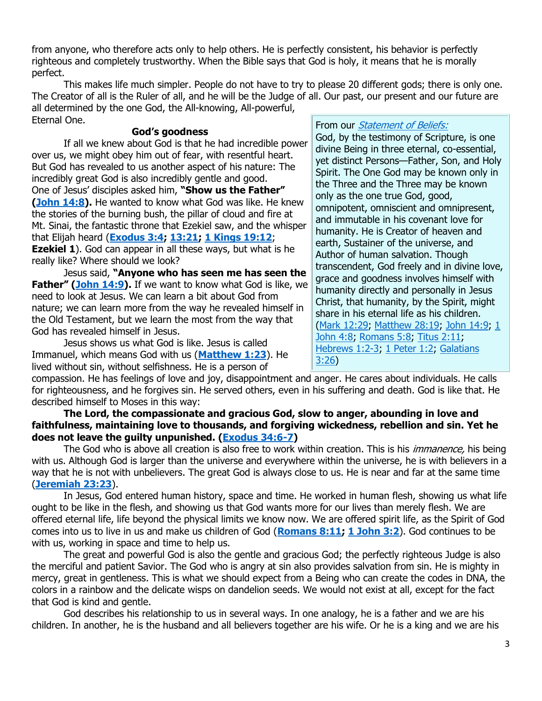from anyone, who therefore acts only to help others. He is perfectly consistent, his behavior is perfectly righteous and completely trustworthy. When the Bible says that God is holy, it means that he is morally perfect.

This makes life much simpler. People do not have to try to please 20 different gods; there is only one. The Creator of all is the Ruler of all, and he will be the Judge of all. Our past, our present and our future are all determined by the one God, the All-knowing, All-powerful, Eternal One.

### **God's goodness**

If all we knew about God is that he had incredible power over us, we might obey him out of fear, with resentful heart. But God has revealed to us another aspect of his nature: The incredibly great God is also incredibly gentle and good. One of Jesus' disciples asked him, **"Show us the Father" [\(John 14:8\)](https://biblia.com/bible/niv/John%2014.8).** He wanted to know what God was like. He knew the stories of the burning bush, the pillar of cloud and fire at Mt. Sinai, the fantastic throne that Ezekiel saw, and the whisper that Elijah heard (**[Exodus 3:4;](https://biblia.com/bible/niv/Exod%203.4) [13:21;](https://biblia.com/bible/niv/Exodus%2013.21) [1 Kings 19:12](https://biblia.com/bible/niv/1%20Kings%2019.12)**; **Ezekiel 1**). God can appear in all these ways, but what is he really like? Where should we look?

Jesus said, **"Anyone who has seen me has seen the Father" ([John 14:9\)](https://biblia.com/bible/niv/John%2014.9).** If we want to know what God is like, we need to look at Jesus. We can learn a bit about God from nature; we can learn more from the way he revealed himself in the Old Testament, but we learn the most from the way that God has revealed himself in Jesus.

Jesus shows us what God is like. Jesus is called Immanuel, which means God with us (**[Matthew 1:23](https://biblia.com/bible/niv/Matt%201.23)**). He lived without sin, without selfishness. He is a person of

### From our *[Statement of Beliefs:](https://www.gci.org/aboutus/beliefs)*

God, by the testimony of Scripture, is one divine Being in three eternal, co-essential, yet distinct Persons—Father, Son, and Holy Spirit. The One God may be known only in the Three and the Three may be known only as the one true God, good, omnipotent, omniscient and omnipresent, and immutable in his covenant love for humanity. He is Creator of heaven and earth, Sustainer of the universe, and Author of human salvation. Though transcendent, God freely and in divine love, grace and goodness involves himself with humanity directly and personally in Jesus Christ, that humanity, by the Spirit, might share in his eternal life as his children. [\(Mark 12:29;](https://biblia.com/bible/niv/Mark%2012.29) [Matthew 28:19;](https://biblia.com/bible/niv/Matt%2028.19) John 14:9, 1 [John 4:8;](https://biblia.com/bible/niv/1%20John%204.8) [Romans 5:8;](https://biblia.com/bible/niv/Rom%205.8) [Titus 2:11;](https://biblia.com/bible/niv/Titus%202.11) Hebrews 1:2-3, 1 Peter 1:2, Galatians [3:26\)](https://biblia.com/bible/niv/Gal%203.26)

compassion. He has feelings of love and joy, disappointment and anger. He cares about individuals. He calls for righteousness, and he forgives sin. He served others, even in his suffering and death. God is like that. He described himself to Moses in this way:

**The Lord, the compassionate and gracious God, slow to anger, abounding in love and faithfulness, maintaining love to thousands, and forgiving wickedness, rebellion and sin. Yet he does not leave the guilty unpunished. [\(Exodus 34:6-7\)](https://biblia.com/bible/niv/Exod%2034.6-7)**

The God who is above all creation is also free to work within creation. This is his *immanence*, his being with us. Although God is larger than the universe and everywhere within the universe, he is with believers in a way that he is not with unbelievers. The great God is always close to us. He is near and far at the same time (**[Jeremiah 23:23](https://biblia.com/bible/niv/Jer%2023.23)**).

In Jesus, God entered human history, space and time. He worked in human flesh, showing us what life ought to be like in the flesh, and showing us that God wants more for our lives than merely flesh. We are offered eternal life, life beyond the physical limits we know now. We are offered spirit life, as the Spirit of God comes into us to live in us and make us children of God (**[Romans 8:11;](https://biblia.com/bible/niv/Rom%208.11) [1 John 3:2](https://biblia.com/bible/niv/1%20John%203.2)**). God continues to be with us, working in space and time to help us.

The great and powerful God is also the gentle and gracious God; the perfectly righteous Judge is also the merciful and patient Savior. The God who is angry at sin also provides salvation from sin. He is mighty in mercy, great in gentleness. This is what we should expect from a Being who can create the codes in DNA, the colors in a rainbow and the delicate wisps on dandelion seeds. We would not exist at all, except for the fact that God is kind and gentle.

God describes his relationship to us in several ways. In one analogy, he is a father and we are his children. In another, he is the husband and all believers together are his wife. Or he is a king and we are his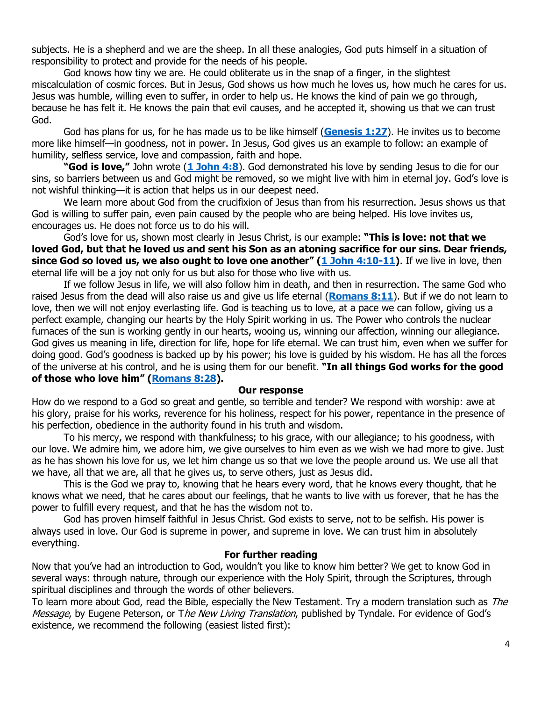subjects. He is a shepherd and we are the sheep. In all these analogies, God puts himself in a situation of responsibility to protect and provide for the needs of his people.

God knows how tiny we are. He could obliterate us in the snap of a finger, in the slightest miscalculation of cosmic forces. But in Jesus, God shows us how much he loves us, how much he cares for us. Jesus was humble, willing even to suffer, in order to help us. He knows the kind of pain we go through, because he has felt it. He knows the pain that evil causes, and he accepted it, showing us that we can trust God.

God has plans for us, for he has made us to be like himself (**[Genesis 1:27](https://biblia.com/bible/niv/Gen%201.27)**). He invites us to become more like himself—in goodness, not in power. In Jesus, God gives us an example to follow: an example of humility, selfless service, love and compassion, faith and hope.

**"God is love,"** John wrote (**[1 John 4:8](http://biblia.com/bible/niv/1%20John%204.8)**). God demonstrated his love by sending Jesus to die for our sins, so barriers between us and God might be removed, so we might live with him in eternal joy. God's love is not wishful thinking—it is action that helps us in our deepest need.

We learn more about God from the crucifixion of Jesus than from his resurrection. Jesus shows us that God is willing to suffer pain, even pain caused by the people who are being helped. His love invites us, encourages us. He does not force us to do his will.

God's love for us, shown most clearly in Jesus Christ, is our example: **"This is love: not that we loved God, but that he loved us and sent his Son as an atoning sacrifice for our sins. Dear friends, since God so loved us, we also ought to love one another" ([1 John 4:10-11\)](https://biblia.com/bible/niv/1%20John%204.10-11)**. If we live in love, then eternal life will be a joy not only for us but also for those who live with us.

If we follow Jesus in life, we will also follow him in death, and then in resurrection. The same God who raised Jesus from the dead will also raise us and give us life eternal (**[Romans 8:11](https://biblia.com/bible/niv/Rom%208.11)**). But if we do not learn to love, then we will not enjoy everlasting life. God is teaching us to love, at a pace we can follow, giving us a perfect example, changing our hearts by the Holy Spirit working in us. The Power who controls the nuclear furnaces of the sun is working gently in our hearts, wooing us, winning our affection, winning our allegiance. God gives us meaning in life, direction for life, hope for life eternal. We can trust him, even when we suffer for doing good. God's goodness is backed up by his power; his love is guided by his wisdom. He has all the forces of the universe at his control, and he is using them for our benefit. **"In all things God works for the good of those who love him" ([Romans 8:28\)](https://biblia.com/bible/niv/Rom%208.28).**

#### **Our response**

How do we respond to a God so great and gentle, so terrible and tender? We respond with worship: awe at his glory, praise for his works, reverence for his holiness, respect for his power, repentance in the presence of his perfection, obedience in the authority found in his truth and wisdom.

To his mercy, we respond with thankfulness; to his grace, with our allegiance; to his goodness, with our love. We admire him, we adore him, we give ourselves to him even as we wish we had more to give. Just as he has shown his love for us, we let him change us so that we love the people around us. We use all that we have, all that we are, all that he gives us, to serve others, just as Jesus did.

This is the God we pray to, knowing that he hears every word, that he knows every thought, that he knows what we need, that he cares about our feelings, that he wants to live with us forever, that he has the power to fulfill every request, and that he has the wisdom not to.

God has proven himself faithful in Jesus Christ. God exists to serve, not to be selfish. His power is always used in love. Our God is supreme in power, and supreme in love. We can trust him in absolutely everything.

## **For further reading**

Now that you've had an introduction to God, wouldn't you like to know him better? We get to know God in several ways: through nature, through our experience with the Holy Spirit, through the Scriptures, through spiritual disciplines and through the words of other believers.

To learn more about God, read the Bible, especially the New Testament. Try a modern translation such as The Message, by Eugene Peterson, or The New Living Translation, published by Tyndale. For evidence of God's existence, we recommend the following (easiest listed first):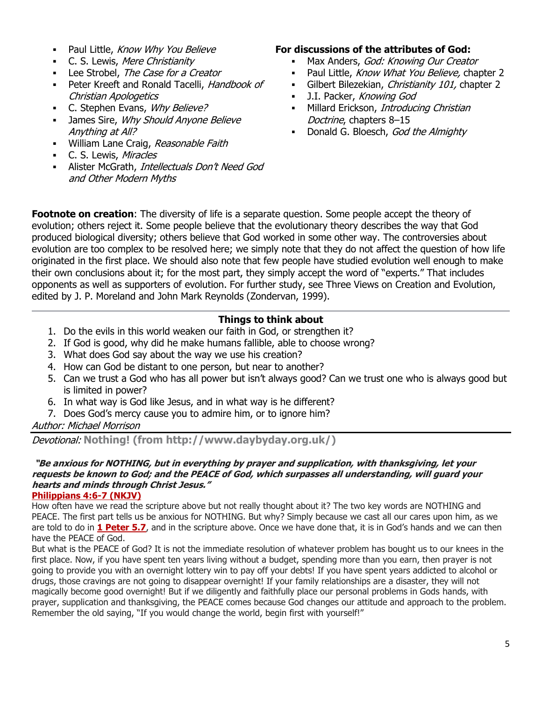- **Paul Little, Know Why You Believe**
- **C. S. Lewis, Mere Christianity**
- **EXEC** Lee Strobel, The Case for a Creator
- **Peter Kreeft and Ronald Tacelli, Handbook of** Christian Apologetics
- C. Stephen Evans, Why Believe?
- James Sire, Why Should Anyone Believe Anything at All?
- **■** William Lane Craig, Reasonable Faith
- **C. S. Lewis, Miracles**
- **·** Alister McGrath, Intellectuals Don't Need God and Other Modern Myths

## **For discussions of the attributes of God:**

- **Max Anders, God: Knowing Our Creator**
- **Paul Little, Know What You Believe, chapter 2**
- Gilbert Bilezekian, Christianity 101, chapter 2
- **•** J.I. Packer, Knowing God
- **■** Millard Erickson, Introducing Christian Doctrine, chapters 8–15
- Donald G. Bloesch, God the Almighty

**Footnote on creation**: The diversity of life is a separate question. Some people accept the theory of evolution; others reject it. Some people believe that the evolutionary theory describes the way that God produced biological diversity; others believe that God worked in some other way. The controversies about evolution are too complex to be resolved here; we simply note that they do not affect the question of how life originated in the first place. We should also note that few people have studied evolution well enough to make their own conclusions about it; for the most part, they simply accept the word of "experts." That includes opponents as well as supporters of evolution. For further study, see Three Views on Creation and Evolution, edited by J. P. Moreland and John Mark Reynolds (Zondervan, 1999).

# **Things to think about**

- 1. Do the evils in this world weaken our faith in God, or strengthen it?
- 2. If God is good, why did he make humans fallible, able to choose wrong?
- 3. What does God say about the way we use his creation?
- 4. How can God be distant to one person, but near to another?
- 5. Can we trust a God who has all power but isn't always good? Can we trust one who is always good but is limited in power?
- 6. In what way is God like Jesus, and in what way is he different?
- 7. Does God's mercy cause you to admire him, or to ignore him?

Author: Michael Morrison

Devotional: **Nothing! (from http://www.daybyday.org.uk/)**

#### **"Be anxious for NOTHING, but in everything by prayer and supplication, with thanksgiving, let your requests be known to God; and the PEACE of God, which surpasses all understanding, will guard your hearts and minds through Christ Jesus." [Philippians 4:6-7 \(NKJV\)](https://biblia.com/bible/nkjv/Phil%204.6-7)**

How often have we read the scripture above but not really thought about it? The two key words are NOTHING and PEACE. The first part tells us be anxious for NOTHING. But why? Simply because we cast all our cares upon him, as we are told to do in **[1 Peter](https://biblia.com/bible/niv/1%20Pet%205.7) 5.7**, and in the scripture above. Once we have done that, it is in God's hands and we can then have the PEACE of God.

But what is the PEACE of God? It is not the immediate resolution of whatever problem has bought us to our knees in the first place. Now, if you have spent ten years living without a budget, spending more than you earn, then prayer is not going to provide you with an overnight lottery win to pay off your debts! If you have spent years addicted to alcohol or drugs, those cravings are not going to disappear overnight! If your family relationships are a disaster, they will not magically become good overnight! But if we diligently and faithfully place our personal problems in Gods hands, with prayer, supplication and thanksgiving, the PEACE comes because God changes our attitude and approach to the problem. Remember the old saying, "If you would change the world, begin first with yourself!"